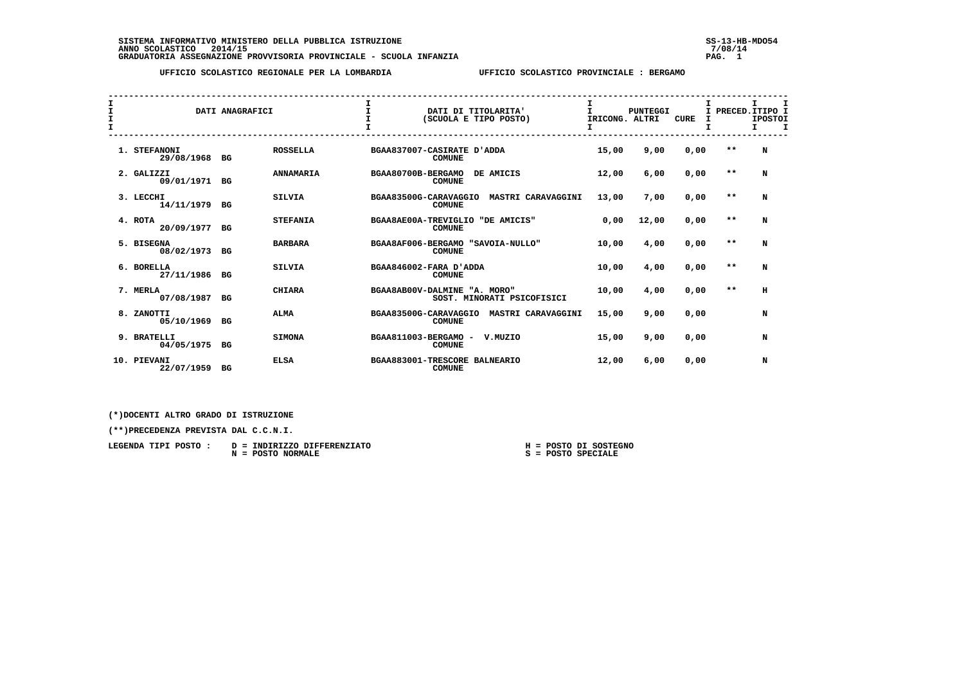SISTEMA INFORMATIVO MINISTERO DELLA PUBBLICA ISTRUZIONE<br>ANNO SCOLASTICO 2014/15<br>GRADUATORIA ASSEGNAZIONE PROVVISORIA PROVINCIALE - SCUOLA INFANZIA PROVINCIA PROVISORIA PROVISORIA PROVVISORIA

 **UFFICIO SCOLASTICO REGIONALE PER LA LOMBARDIA UFFICIO SCOLASTICO PROVINCIALE : BERGAMO**

| I<br>I<br>$\mathbf{I}$ |                             | DATI ANAGRAFICI |                  | $\mathbf{I}$                  |               | DATI DI TITOLARITA'<br>(SCUOLA E TIPO POSTO) | I<br>т<br>IRICONG. ALTRI | <b>PUNTEGGI</b> | <b>CURE</b> | PRECED. ITIPO I<br>I.<br>I | I.<br><b>IPOSTOI</b><br>Τ. | $\mathbf{T}$ |
|------------------------|-----------------------------|-----------------|------------------|-------------------------------|---------------|----------------------------------------------|--------------------------|-----------------|-------------|----------------------------|----------------------------|--------------|
|                        | 1. STEFANONI<br>29/08/1968  | BG              | <b>ROSSELLA</b>  | BGAA837007-CASIRATE D'ADDA    | <b>COMUNE</b> |                                              | 15,00                    | 9,00            | 0,00        | $* *$                      | N                          |              |
|                        | 2. GALIZZI<br>09/01/1971 BG |                 | <b>ANNAMARIA</b> | BGAA80700B-BERGAMO            | <b>COMUNE</b> | DE AMICIS                                    | 12,00                    | 6,00            | 0,00        | $***$                      | N                          |              |
|                        | 3. LECCHI<br>14/11/1979 BG  |                 | <b>SILVIA</b>    | BGAA83500G-CARAVAGGIO         | <b>COMUNE</b> | MASTRI CARAVAGGINI                           | 13,00                    | 7,00            | 0,00        | $* *$                      | N                          |              |
|                        | 4. ROTA<br>20/09/1977       | BG              | <b>STEFANIA</b>  | BGAA8AE00A-TREVIGLIO          | <b>COMUNE</b> | "DE AMICIS"                                  | 0.00                     | 12,00           | 0,00        | $* *$                      | N                          |              |
|                        | 5. BISEGNA<br>08/02/1973    | BG              | <b>BARBARA</b>   |                               | <b>COMUNE</b> | BGAA8AF006-BERGAMO "SAVOIA-NULLO"            | 10,00                    | 4,00            | 0,00        | $**$                       | N                          |              |
|                        | 6. BORELLA<br>27/11/1986 BG |                 | <b>SILVIA</b>    | BGAA846002-FARA D'ADDA        | <b>COMUNE</b> |                                              | 10,00                    | 4,00            | 0,00        | $* *$                      | N                          |              |
|                        | 7. MERLA<br>07/08/1987      | BG              | <b>CHIARA</b>    | BGAA8AB00V-DALMINE "A. MORO"  |               | SOST. MINORATI PSICOFISICI                   | 10,00                    | 4,00            | 0,00        | $**$                       | H                          |              |
|                        | 8. ZANOTTI<br>05/10/1969    | BG              | <b>ALMA</b>      | BGAA83500G-CARAVAGGIO         | <b>COMUNE</b> | MASTRI CARAVAGGINI                           | 15,00                    | 9,00            | 0,00        |                            | N                          |              |
|                        | 9. BRATELLI<br>04/05/1975   | BG              | <b>SIMONA</b>    | BGAA811003-BERGAMO -          | <b>COMUNE</b> | V.MUZIO                                      | 15,00                    | 9,00            | 0,00        |                            | N                          |              |
|                        | 10. PIEVANI<br>22/07/1959   | BG              | <b>ELSA</b>      | BGAA883001-TRESCORE BALNEARIO | <b>COMUNE</b> |                                              | 12,00                    | 6,00            | 0,00        |                            | N                          |              |

 **(\*)DOCENTI ALTRO GRADO DI ISTRUZIONE**

| LEGENDA TIPI POSTO : | D = INDIRIZZO DIFFERENZIATO | H = POSTO DI SOSTEGNO |
|----------------------|-----------------------------|-----------------------|
|                      | N = POSTO NORMALE           | S = POSTO SPECIALE    |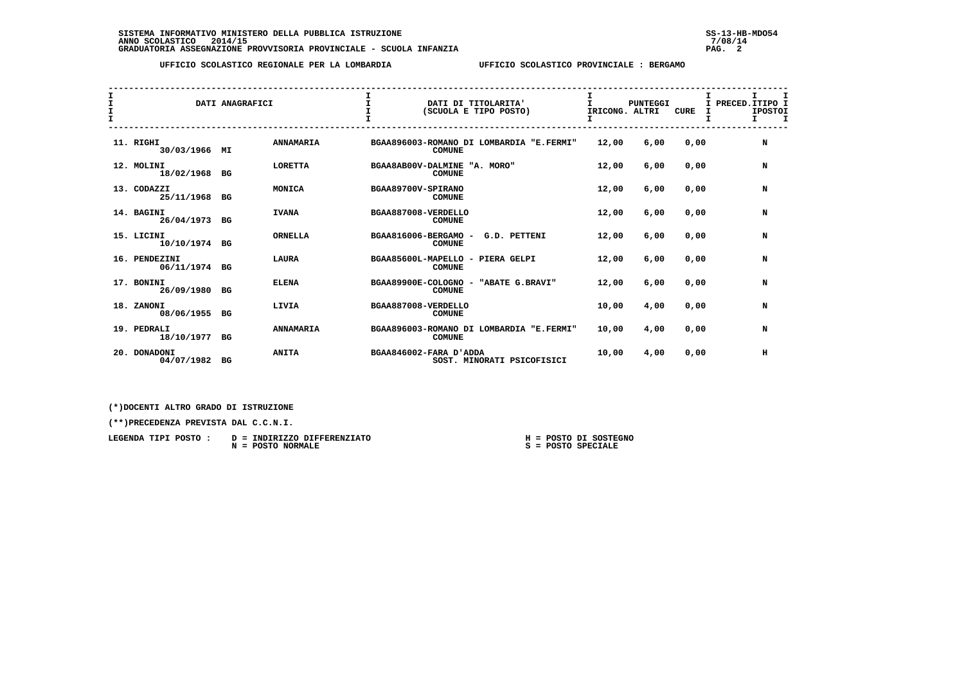## **UFFICIO SCOLASTICO REGIONALE PER LA LOMBARDIA UFFICIO SCOLASTICO PROVINCIALE : BERGAMO**

| I<br>I<br>$\mathbf{I}$ |                                | DATI ANAGRAFICI |                  | $\mathbf{I}$                 |               | DATI DI TITOLARITA'<br>(SCUOLA E TIPO POSTO) | T.<br>IRICONG. ALTRI | <b>PUNTEGGI</b> | <b>CURE</b> | I PRECED. ITIPO I<br>I<br>T | I.<br><b>IPOSTOI</b><br>Τ. | <b>T</b> |
|------------------------|--------------------------------|-----------------|------------------|------------------------------|---------------|----------------------------------------------|----------------------|-----------------|-------------|-----------------------------|----------------------------|----------|
|                        | 11. RIGHI<br>30/03/1966 MI     |                 | <b>ANNAMARIA</b> |                              | <b>COMUNE</b> | BGAA896003-ROMANO DI LOMBARDIA "E.FERMI"     | 12,00                | 6,00            | 0,00        |                             | N                          |          |
|                        | 12. MOLINI<br>18/02/1968 BG    |                 | <b>LORETTA</b>   | BGAA8AB00V-DALMINE "A. MORO" | <b>COMUNE</b> |                                              | 12,00                | 6,00            | 0,00        |                             | N                          |          |
|                        | 13. CODAZZI<br>25/11/1968      | BG              | MONICA           | BGAA89700V-SPIRANO           | <b>COMUNE</b> |                                              | 12,00                | 6,00            | 0,00        |                             | N                          |          |
|                        | 14. BAGINI<br>26/04/1973 BG    |                 | <b>IVANA</b>     | BGAA887008-VERDELLO          | <b>COMUNE</b> |                                              | 12,00                | 6,00            | 0,00        |                             | N                          |          |
|                        | 15. LICINI<br>10/10/1974 BG    |                 | <b>ORNELLA</b>   | BGAA816006-BERGAMO -         | <b>COMUNE</b> | G.D. PETTENI                                 | 12,00                | 6,00            | 0.00        |                             | N                          |          |
|                        | 16. PENDEZINI<br>06/11/1974 BG |                 | <b>LAURA</b>     | BGAA85600L-MAPELLO           | <b>COMUNE</b> | PIERA GELPI<br>$\sim$                        | 12,00                | 6,00            | 0,00        |                             | N                          |          |
|                        | 17. BONINI<br>26/09/1980       | BG              | <b>ELENA</b>     |                              | <b>COMUNE</b> | BGAA89900E-COLOGNO - "ABATE G.BRAVI"         | 12,00                | 6,00            | 0,00        |                             | N                          |          |
|                        | 18. ZANONI<br>08/06/1955       | BG              | LIVIA            | BGAA887008-VERDELLO          | <b>COMUNE</b> |                                              | 10,00                | 4,00            | 0,00        |                             | N                          |          |
|                        | 19. PEDRALI<br>18/10/1977 BG   |                 | <b>ANNAMARIA</b> |                              | <b>COMUNE</b> | BGAA896003-ROMANO DI LOMBARDIA "E.FERMI"     | 10,00                | 4,00            | 0,00        |                             | N                          |          |
|                        | 20. DONADONI<br>04/07/1982     | BG              | <b>ANITA</b>     | BGAA846002-FARA D'ADDA       |               | SOST. MINORATI PSICOFISICI                   | 10,00                | 4,00            | 0,00        |                             | н                          |          |

 **(\*)DOCENTI ALTRO GRADO DI ISTRUZIONE**

| LEGENDA TIPI POSTO : | D = INDIRIZZO DIFFERENZIATO | H = POSTO DI SOSTEGNO |
|----------------------|-----------------------------|-----------------------|
|                      | N = POSTO NORMALE           | S = POSTO SPECIALE    |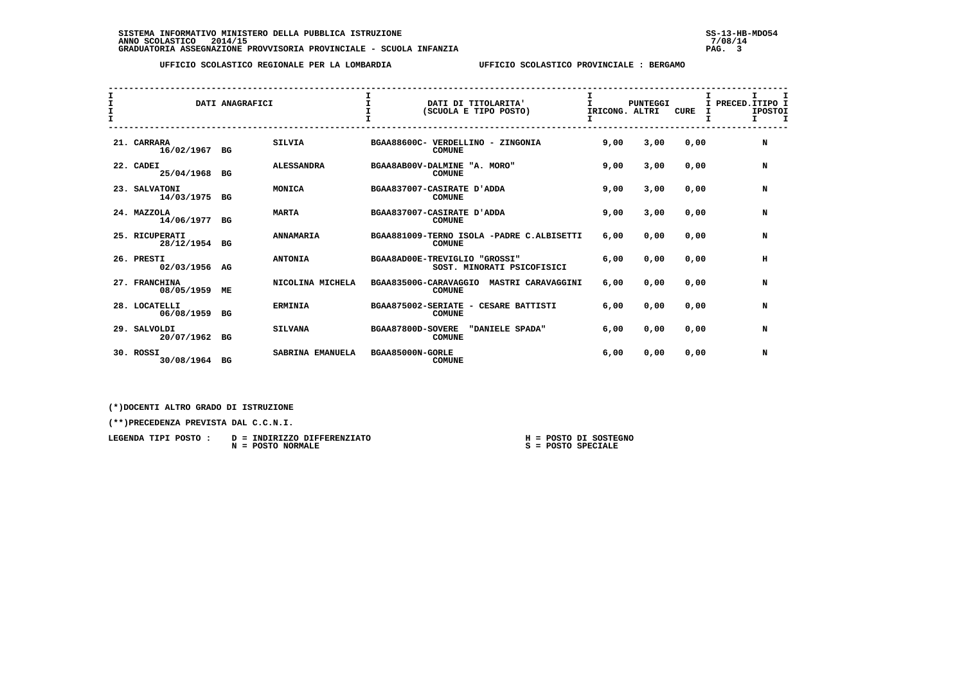# **UFFICIO SCOLASTICO REGIONALE PER LA LOMBARDIA UFFICIO SCOLASTICO PROVINCIALE : BERGAMO**

| $\mathbf{I}$<br>$\mathbf{I}$<br>$\mathbf{T}$ |                               | DATI ANAGRAFICI |                   | $\mathbf{T}$      | DATI DI TITOLARITA'<br>(SCUOLA E TIPO POSTO)                 | I<br>T.<br>IRICONG, ALTRI | <b>PUNTEGGI</b> | <b>CURE</b> | I.<br>I PRECED. ITIPO I<br>I. | $\mathbf{T}$<br><b>IPOSTOI</b><br>$\mathbf I$ |
|----------------------------------------------|-------------------------------|-----------------|-------------------|-------------------|--------------------------------------------------------------|---------------------------|-----------------|-------------|-------------------------------|-----------------------------------------------|
|                                              | 21. CARRARA<br>16/02/1967 BG  |                 | <b>SILVIA</b>     |                   | BGAA88600C- VERDELLINO - ZINGONIA<br><b>COMUNE</b>           | 9,00                      | 3,00            | 0.00        |                               | N                                             |
|                                              | 22. CADEI<br>25/04/1968       | BG              | <b>ALESSANDRA</b> |                   | BGAA8AB00V-DALMINE "A. MORO"<br><b>COMUNE</b>                | 9,00                      | 3,00            | 0.00        |                               | N                                             |
|                                              | 23. SALVATONI<br>14/03/1975   | BG              | MONICA            |                   | BGAA837007-CASIRATE D'ADDA<br><b>COMUNE</b>                  | 9,00                      | 3,00            | 0.00        |                               | N                                             |
|                                              | 24. MAZZOLA<br>14/06/1977     | BG              | <b>MARTA</b>      |                   | BGAA837007-CASIRATE D'ADDA<br><b>COMUNE</b>                  | 9,00                      | 3,00            | 0.00        |                               | N                                             |
|                                              | 25. RICUPERATI<br>28/12/1954  | BG              | <b>ANNAMARIA</b>  |                   | BGAA881009-TERNO ISOLA -PADRE C.ALBISETTI<br><b>COMUNE</b>   | 6,00                      | 0.00            | 0.00        |                               | N                                             |
|                                              | 26. PRESTI<br>02/03/1956 AG   |                 | <b>ANTONIA</b>    |                   | BGAA8AD00E-TREVIGLIO "GROSSI"<br>SOST. MINORATI PSICOFISICI  | 6,00                      | 0.00            | 0.00        |                               | н                                             |
|                                              | 27. FRANCHINA<br>08/05/1959   | MЕ              | NICOLINA MICHELA  |                   | BGAA83500G-CARAVAGGIO<br>MASTRI CARAVAGGINI<br><b>COMUNE</b> | 6,00                      | 0,00            | 0,00        |                               | N                                             |
|                                              | 28. LOCATELLI<br>06/08/1959   | BG              | <b>ERMINIA</b>    |                   | BGAA875002-SERIATE - CESARE BATTISTI<br><b>COMUNE</b>        | 6,00                      | 0.00            | 0.00        |                               | N                                             |
|                                              | 29. SALVOLDI<br>20/07/1962 BG |                 | <b>SILVANA</b>    | BGAA87800D-SOVERE | "DANIELE SPADA"<br><b>COMUNE</b>                             | 6,00                      | 0.00            | 0,00        |                               | N                                             |
|                                              | 30. ROSSI<br>30/08/1964 BG    |                 | SABRINA EMANUELA  | BGAA85000N-GORLE  | <b>COMUNE</b>                                                | 6,00                      | 0,00            | 0.00        |                               | N                                             |

 **(\*)DOCENTI ALTRO GRADO DI ISTRUZIONE**

| LEGENDA TIPI POSTO: | D = INDIRIZZO DIFFERENZIATO | POSTO DI SOSTEGNO<br>н = |
|---------------------|-----------------------------|--------------------------|
|                     | $N = POSTO NORMALE$         | $S = POSTO SPECIALE$     |